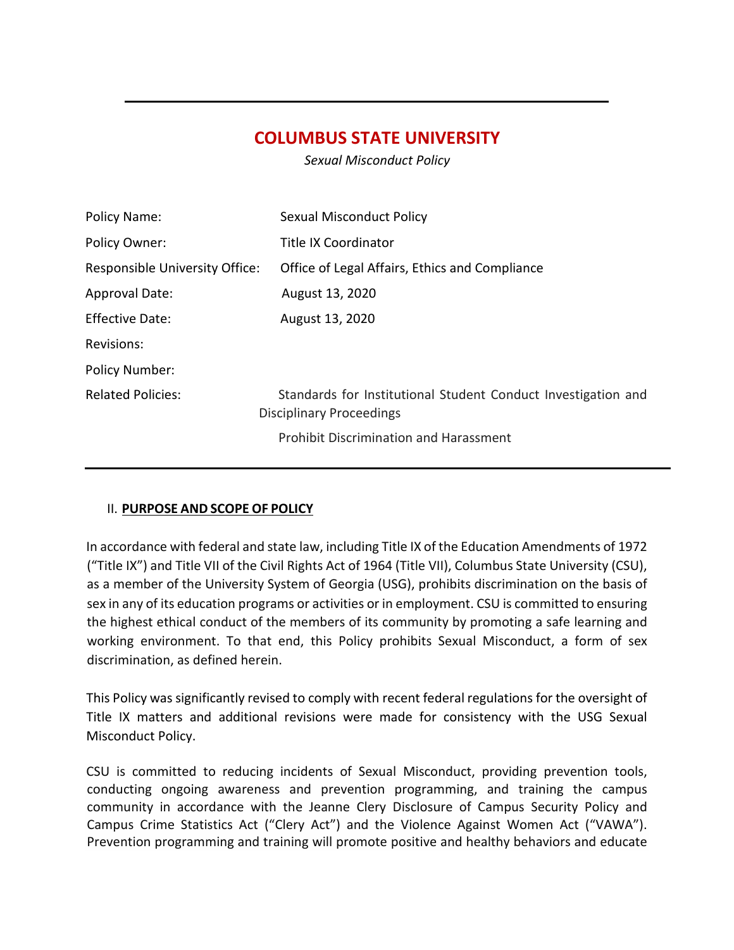# **COLUMBUS STATE UNIVERSITY**

*Sexual Misconduct Policy*

| Policy Name:                   | <b>Sexual Misconduct Policy</b>                                                                  |
|--------------------------------|--------------------------------------------------------------------------------------------------|
| Policy Owner:                  | <b>Title IX Coordinator</b>                                                                      |
| Responsible University Office: | Office of Legal Affairs, Ethics and Compliance                                                   |
| <b>Approval Date:</b>          | August 13, 2020                                                                                  |
| <b>Effective Date:</b>         | August 13, 2020                                                                                  |
| Revisions:                     |                                                                                                  |
| <b>Policy Number:</b>          |                                                                                                  |
| <b>Related Policies:</b>       | Standards for Institutional Student Conduct Investigation and<br><b>Disciplinary Proceedings</b> |
|                                | <b>Prohibit Discrimination and Harassment</b>                                                    |

#### II. **PURPOSE AND SCOPE OF POLICY**

In accordance with federal and state law, including Title IX of the Education Amendments of 1972 ("Title IX") and Title VII of the Civil Rights Act of 1964 (Title VII), Columbus State University (CSU), as a member of the University System of Georgia (USG), prohibits discrimination on the basis of sex in any of its education programs or activities or in employment. CSU is committed to ensuring the highest ethical conduct of the members of its community by promoting a safe learning and working environment. To that end, this Policy prohibits Sexual Misconduct, a form of sex discrimination, as defined herein.

This Policy was significantly revised to comply with recent federal regulations for the oversight of Title IX matters and additional revisions were made for consistency with the USG Sexual Misconduct Policy.

CSU is committed to reducing incidents of Sexual Misconduct, providing prevention tools, conducting ongoing awareness and prevention programming, and training the campus community in accordance with the Jeanne Clery Disclosure of Campus Security Policy and Campus Crime Statistics Act ("Clery Act") and the Violence Against Women Act ("VAWA"). Prevention programming and training will promote positive and healthy behaviors and educate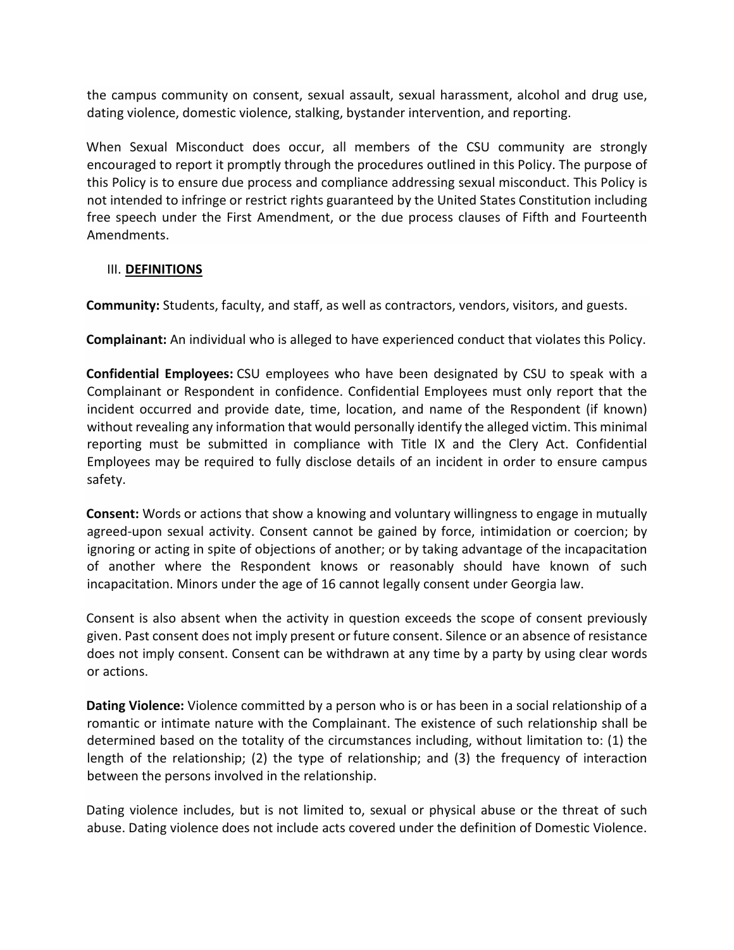the campus community on consent, sexual assault, sexual harassment, alcohol and drug use, dating violence, domestic violence, stalking, bystander intervention, and reporting.

When Sexual Misconduct does occur, all members of the CSU community are strongly encouraged to report it promptly through the procedures outlined in this Policy. The purpose of this Policy is to ensure due process and compliance addressing sexual misconduct. This Policy is not intended to infringe or restrict rights guaranteed by the United States Constitution including free speech under the First Amendment, or the due process clauses of Fifth and Fourteenth Amendments.

#### III. **DEFINITIONS**

**Community:** Students, faculty, and staff, as well as contractors, vendors, visitors, and guests.

**Complainant:** An individual who is alleged to have experienced conduct that violates this Policy.

**Confidential Employees:** CSU employees who have been designated by CSU to speak with a Complainant or Respondent in confidence. Confidential Employees must only report that the incident occurred and provide date, time, location, and name of the Respondent (if known) without revealing any information that would personally identify the alleged victim. This minimal reporting must be submitted in compliance with Title IX and the Clery Act. Confidential Employees may be required to fully disclose details of an incident in order to ensure campus safety.

**Consent:** Words or actions that show a knowing and voluntary willingness to engage in mutually agreed-upon sexual activity. Consent cannot be gained by force, intimidation or coercion; by ignoring or acting in spite of objections of another; or by taking advantage of the incapacitation of another where the Respondent knows or reasonably should have known of such incapacitation. Minors under the age of 16 cannot legally consent under Georgia law.

Consent is also absent when the activity in question exceeds the scope of consent previously given. Past consent does not imply present or future consent. Silence or an absence of resistance does not imply consent. Consent can be withdrawn at any time by a party by using clear words or actions.

**Dating Violence:** Violence committed by a person who is or has been in a social relationship of a romantic or intimate nature with the Complainant. The existence of such relationship shall be determined based on the totality of the circumstances including, without limitation to: (1) the length of the relationship; (2) the type of relationship; and (3) the frequency of interaction between the persons involved in the relationship.

Dating violence includes, but is not limited to, sexual or physical abuse or the threat of such abuse. Dating violence does not include acts covered under the definition of Domestic Violence.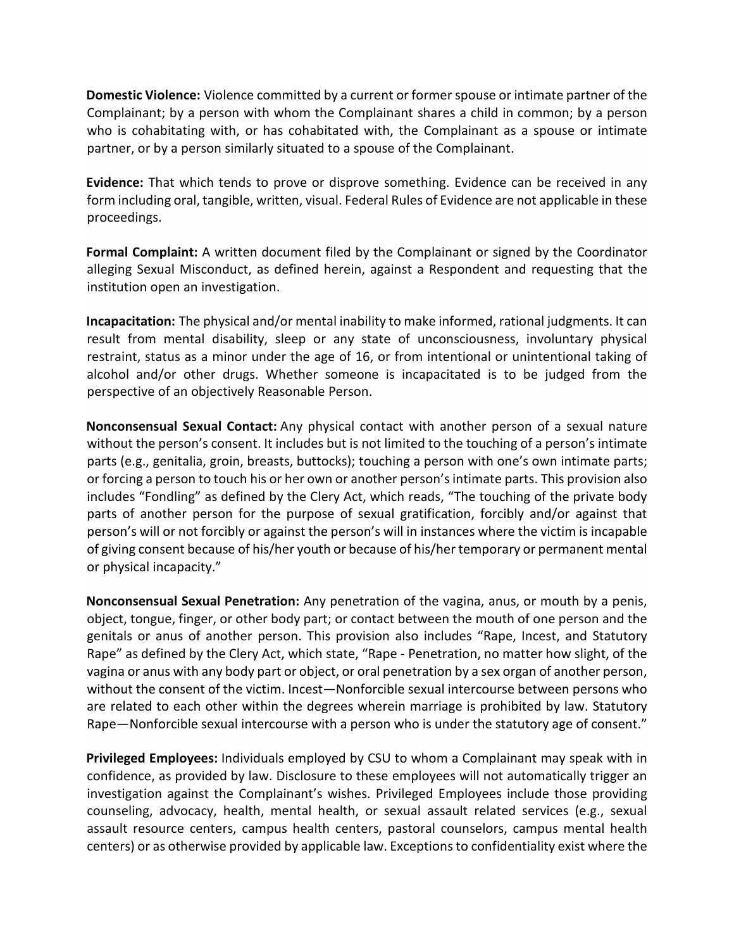**Domestic Violence:** Violence committed by a current or former spouse or intimate partner of the Complainant; by a person with whom the Complainant shares a child in common; by a person who is cohabitating with, or has cohabitated with, the Complainant as a spouse or intimate partner, or by a person similarly situated to a spouse of the Complainant.

**Evidence:** That which tends to prove or disprove something. Evidence can be received in any form including oral, tangible, written, visual. Federal Rules of Evidence are not applicable in these proceedings.

**Formal Complaint:** A written document filed by the Complainant or signed by the Coordinator alleging Sexual Misconduct, as defined herein, against a Respondent and requesting that the institution open an investigation.

**Incapacitation:** The physical and/or mental inability to make informed, rational judgments. It can result from mental disability, sleep or any state of unconsciousness, involuntary physical restraint, status as a minor under the age of 16, or from intentional or unintentional taking of alcohol and/or other drugs. Whether someone is incapacitated is to be judged from the perspective of an objectively Reasonable Person.

**Nonconsensual Sexual Contact:** Any physical contact with another person of a sexual nature without the person's consent. It includes but is not limited to the touching of a person's intimate parts (e.g., genitalia, groin, breasts, buttocks); touching a person with one's own intimate parts; or forcing a person to touch his or her own or another person's intimate parts. This provision also includes "Fondling" as defined by the Clery Act, which reads, "The touching of the private body parts of another person for the purpose of sexual gratification, forcibly and/or against that person's will or not forcibly or against the person's will in instances where the victim is incapable of giving consent because of his/her youth or because of his/her temporary or permanent mental or physical incapacity."

**Nonconsensual Sexual Penetration:** Any penetration of the vagina, anus, or mouth by a penis, object, tongue, finger, or other body part; or contact between the mouth of one person and the genitals or anus of another person. This provision also includes "Rape, Incest, and Statutory Rape" as defined by the Clery Act, which state, "Rape - Penetration, no matter how slight, of the vagina or anus with any body part or object, or oral penetration by a sex organ of another person, without the consent of the victim. Incest—Nonforcible sexual intercourse between persons who are related to each other within the degrees wherein marriage is prohibited by law. Statutory Rape—Nonforcible sexual intercourse with a person who is under the statutory age of consent."

**Privileged Employees:** Individuals employed by CSU to whom a Complainant may speak with in confidence, as provided by law. Disclosure to these employees will not automatically trigger an investigation against the Complainant's wishes. Privileged Employees include those providing counseling, advocacy, health, mental health, or sexual assault related services (e.g., sexual assault resource centers, campus health centers, pastoral counselors, campus mental health centers) or as otherwise provided by applicable law. Exceptions to confidentiality exist where the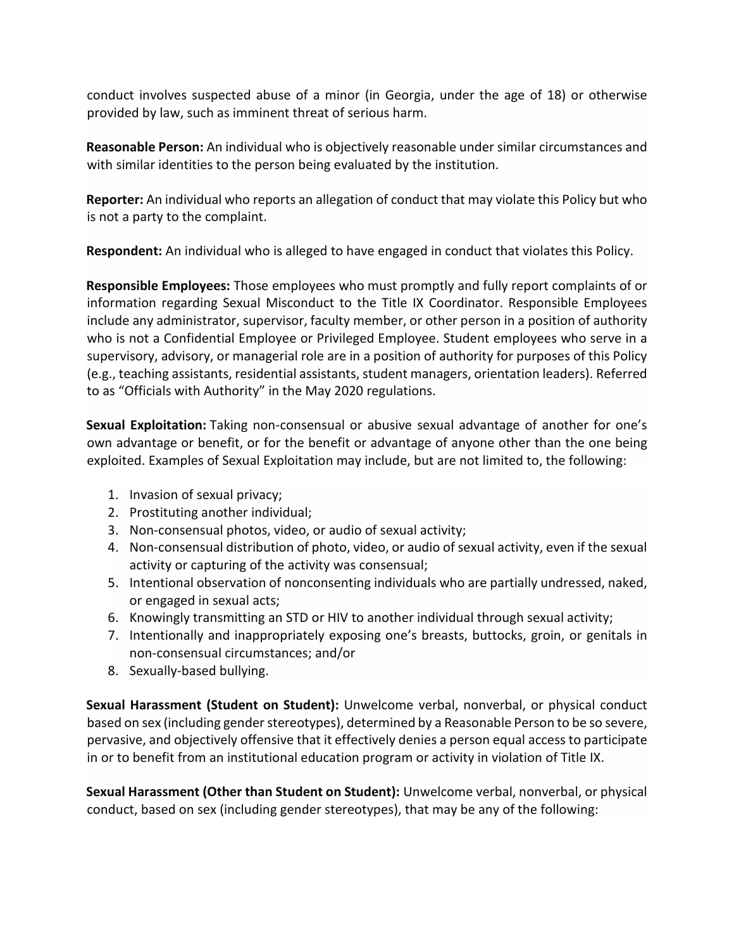conduct involves suspected abuse of a minor (in Georgia, under the age of 18) or otherwise provided by law, such as imminent threat of serious harm.

**Reasonable Person:** An individual who is objectively reasonable under similar circumstances and with similar identities to the person being evaluated by the institution.

**Reporter:** An individual who reports an allegation of conduct that may violate this Policy but who is not a party to the complaint.

**Respondent:** An individual who is alleged to have engaged in conduct that violates this Policy.

**Responsible Employees:** Those employees who must promptly and fully report complaints of or information regarding Sexual Misconduct to the Title IX Coordinator. Responsible Employees include any administrator, supervisor, faculty member, or other person in a position of authority who is not a Confidential Employee or Privileged Employee. Student employees who serve in a supervisory, advisory, or managerial role are in a position of authority for purposes of this Policy (e.g., teaching assistants, residential assistants, student managers, orientation leaders). Referred to as "Officials with Authority" in the May 2020 regulations.

**Sexual Exploitation:** Taking non-consensual or abusive sexual advantage of another for one's own advantage or benefit, or for the benefit or advantage of anyone other than the one being exploited. Examples of Sexual Exploitation may include, but are not limited to, the following:

- 1. Invasion of sexual privacy;
- 2. Prostituting another individual;
- 3. Non-consensual photos, video, or audio of sexual activity;
- 4. Non-consensual distribution of photo, video, or audio of sexual activity, even if the sexual activity or capturing of the activity was consensual;
- 5. Intentional observation of nonconsenting individuals who are partially undressed, naked, or engaged in sexual acts;
- 6. Knowingly transmitting an STD or HIV to another individual through sexual activity;
- 7. Intentionally and inappropriately exposing one's breasts, buttocks, groin, or genitals in non-consensual circumstances; and/or
- 8. Sexually-based bullying.

**Sexual Harassment (Student on Student):** Unwelcome verbal, nonverbal, or physical conduct based on sex (including gender stereotypes), determined by a Reasonable Person to be so severe, pervasive, and objectively offensive that it effectively denies a person equal access to participate in or to benefit from an institutional education program or activity in violation of Title IX.

**Sexual Harassment (Other than Student on Student):** Unwelcome verbal, nonverbal, or physical conduct, based on sex (including gender stereotypes), that may be any of the following: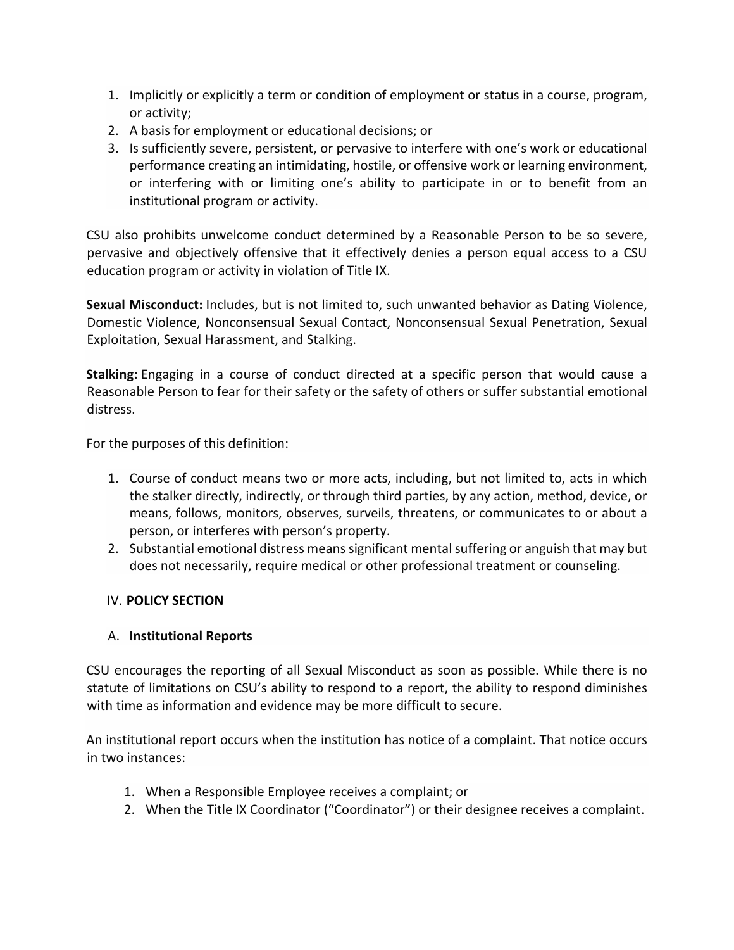- 1. Implicitly or explicitly a term or condition of employment or status in a course, program, or activity;
- 2. A basis for employment or educational decisions; or
- 3. Is sufficiently severe, persistent, or pervasive to interfere with one's work or educational performance creating an intimidating, hostile, or offensive work or learning environment, or interfering with or limiting one's ability to participate in or to benefit from an institutional program or activity.

CSU also prohibits unwelcome conduct determined by a Reasonable Person to be so severe, pervasive and objectively offensive that it effectively denies a person equal access to a CSU education program or activity in violation of Title IX.

**Sexual Misconduct:** Includes, but is not limited to, such unwanted behavior as Dating Violence, Domestic Violence, Nonconsensual Sexual Contact, Nonconsensual Sexual Penetration, Sexual Exploitation, Sexual Harassment, and Stalking.

**Stalking:** Engaging in a course of conduct directed at a specific person that would cause a Reasonable Person to fear for their safety or the safety of others or suffer substantial emotional distress.

For the purposes of this definition:

- 1. Course of conduct means two or more acts, including, but not limited to, acts in which the stalker directly, indirectly, or through third parties, by any action, method, device, or means, follows, monitors, observes, surveils, threatens, or communicates to or about a person, or interferes with person's property.
- 2. Substantial emotional distress means significant mental suffering or anguish that may but does not necessarily, require medical or other professional treatment or counseling.

#### IV. **POLICY SECTION**

#### A. **Institutional Reports**

CSU encourages the reporting of all Sexual Misconduct as soon as possible. While there is no statute of limitations on CSU's ability to respond to a report, the ability to respond diminishes with time as information and evidence may be more difficult to secure.

An institutional report occurs when the institution has notice of a complaint. That notice occurs in two instances:

- 1. When a Responsible Employee receives a complaint; or
- 2. When the Title IX Coordinator ("Coordinator") or their designee receives a complaint.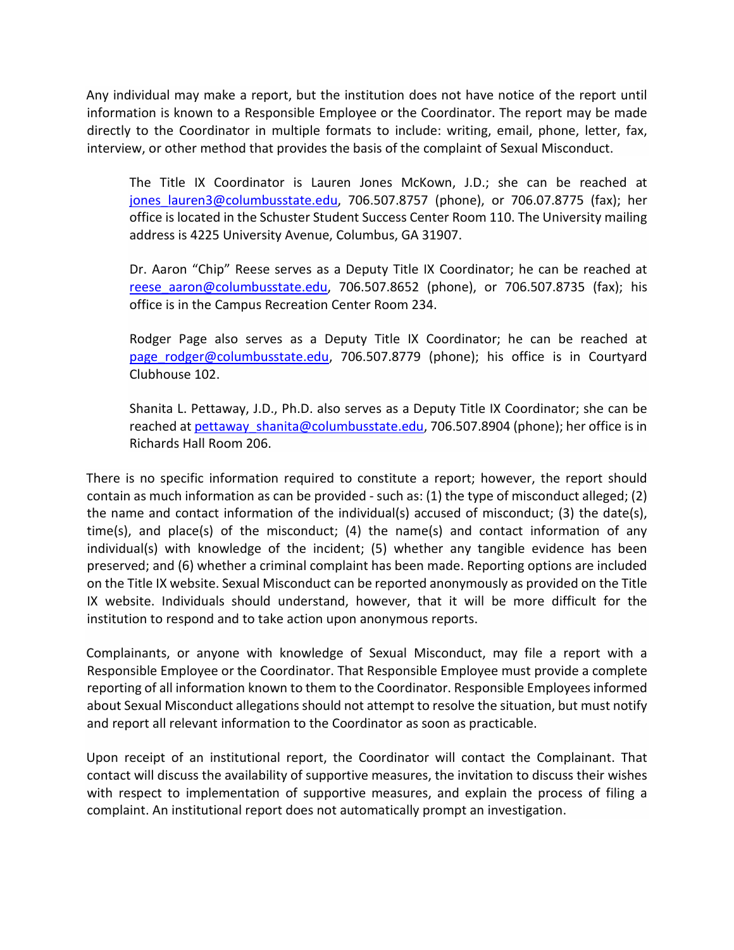Any individual may make a report, but the institution does not have notice of the report until information is known to a Responsible Employee or the Coordinator. The report may be made directly to the Coordinator in multiple formats to include: writing, email, phone, letter, fax, interview, or other method that provides the basis of the complaint of Sexual Misconduct.

The Title IX Coordinator is Lauren Jones McKown, J.D.; she can be reached at jones lauren3@columbusstate.edu, 706.507.8757 (phone), or 706.07.8775 (fax); her office is located in the Schuster Student Success Center Room 110. The University mailing address is 4225 University Avenue, Columbus, GA 31907.

Dr. Aaron "Chip" Reese serves as a Deputy Title IX Coordinator; he can be reached at reese aaron@columbusstate.edu, 706.507.8652 (phone), or 706.507.8735 (fax); his office is in the Campus Recreation Center Room 234.

Rodger Page also serves as a Deputy Title IX Coordinator; he can be reached at page rodger@columbusstate.edu, 706.507.8779 (phone); his office is in Courtyard Clubhouse 102.

Shanita L. Pettaway, J.D., Ph.D. also serves as a Deputy Title IX Coordinator; she can be reached at [pettaway\\_shanita@columbusstate.edu,](mailto:pettaway_shanita@columbusstate.edu) 706.507.8904 (phone); her office is in Richards Hall Room 206.

There is no specific information required to constitute a report; however, the report should contain as much information as can be provided - such as: (1) the type of misconduct alleged; (2) the name and contact information of the individual(s) accused of misconduct; (3) the date(s), time(s), and place(s) of the misconduct; (4) the name(s) and contact information of any individual(s) with knowledge of the incident; (5) whether any tangible evidence has been preserved; and (6) whether a criminal complaint has been made. Reporting options are included on the Title IX website. Sexual Misconduct can be reported anonymously as provided on the Title IX website. Individuals should understand, however, that it will be more difficult for the institution to respond and to take action upon anonymous reports.

Complainants, or anyone with knowledge of Sexual Misconduct, may file a report with a Responsible Employee or the Coordinator. That Responsible Employee must provide a complete reporting of all information known to them to the Coordinator. Responsible Employees informed about Sexual Misconduct allegations should not attempt to resolve the situation, but must notify and report all relevant information to the Coordinator as soon as practicable.

Upon receipt of an institutional report, the Coordinator will contact the Complainant. That contact will discuss the availability of supportive measures, the invitation to discuss their wishes with respect to implementation of supportive measures, and explain the process of filing a complaint. An institutional report does not automatically prompt an investigation.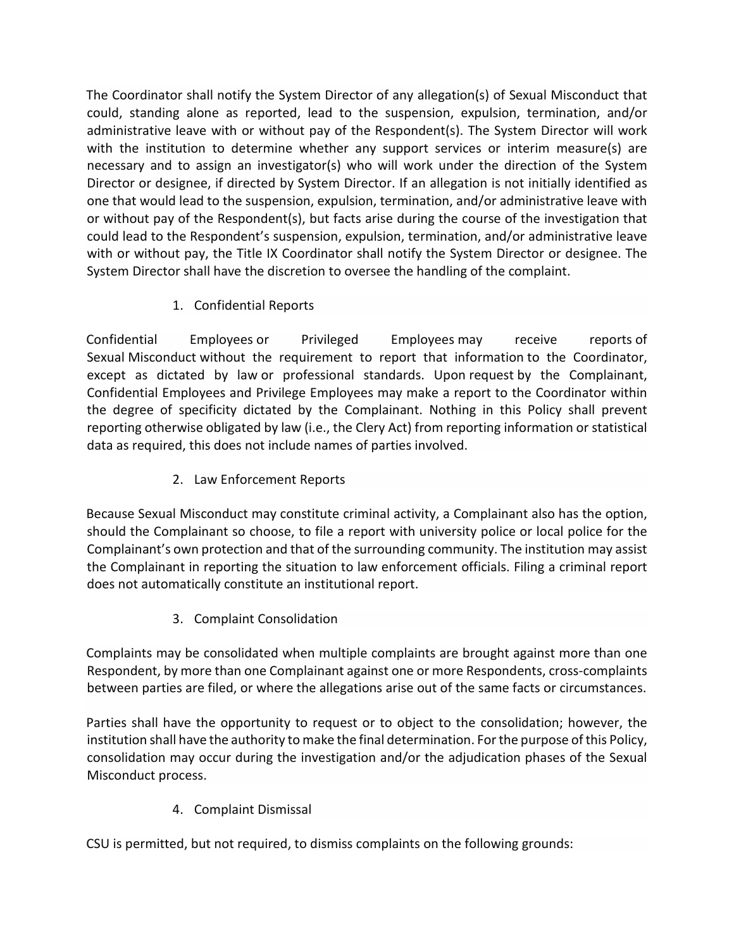The Coordinator shall notify the System Director of any allegation(s) of Sexual Misconduct that could, standing alone as reported, lead to the suspension, expulsion, termination, and/or administrative leave with or without pay of the Respondent(s). The System Director will work with the institution to determine whether any support services or interim measure(s) are necessary and to assign an investigator(s) who will work under the direction of the System Director or designee, if directed by System Director. If an allegation is not initially identified as one that would lead to the suspension, expulsion, termination, and/or administrative leave with or without pay of the Respondent(s), but facts arise during the course of the investigation that could lead to the Respondent's suspension, expulsion, termination, and/or administrative leave with or without pay, the Title IX Coordinator shall notify the System Director or designee. The System Director shall have the discretion to oversee the handling of the complaint.

1. Confidential Reports

Confidential Employees or Privileged Employees may receive reports of Sexual Misconduct without the requirement to report that information to the Coordinator, except as dictated by law or professional standards. Upon request by the Complainant, Confidential Employees and Privilege Employees may make a report to the Coordinator within the degree of specificity dictated by the Complainant. Nothing in this Policy shall prevent reporting otherwise obligated by law (i.e., the Clery Act) from reporting information or statistical data as required, this does not include names of parties involved.

2. Law Enforcement Reports

Because Sexual Misconduct may constitute criminal activity, a Complainant also has the option, should the Complainant so choose, to file a report with university police or local police for the Complainant's own protection and that of the surrounding community. The institution may assist the Complainant in reporting the situation to law enforcement officials. Filing a criminal report does not automatically constitute an institutional report.

3. Complaint Consolidation

Complaints may be consolidated when multiple complaints are brought against more than one Respondent, by more than one Complainant against one or more Respondents, cross-complaints between parties are filed, or where the allegations arise out of the same facts or circumstances.

Parties shall have the opportunity to request or to object to the consolidation; however, the institution shall have the authority to make the final determination. For the purpose of this Policy, consolidation may occur during the investigation and/or the adjudication phases of the Sexual Misconduct process.

4. Complaint Dismissal

CSU is permitted, but not required, to dismiss complaints on the following grounds: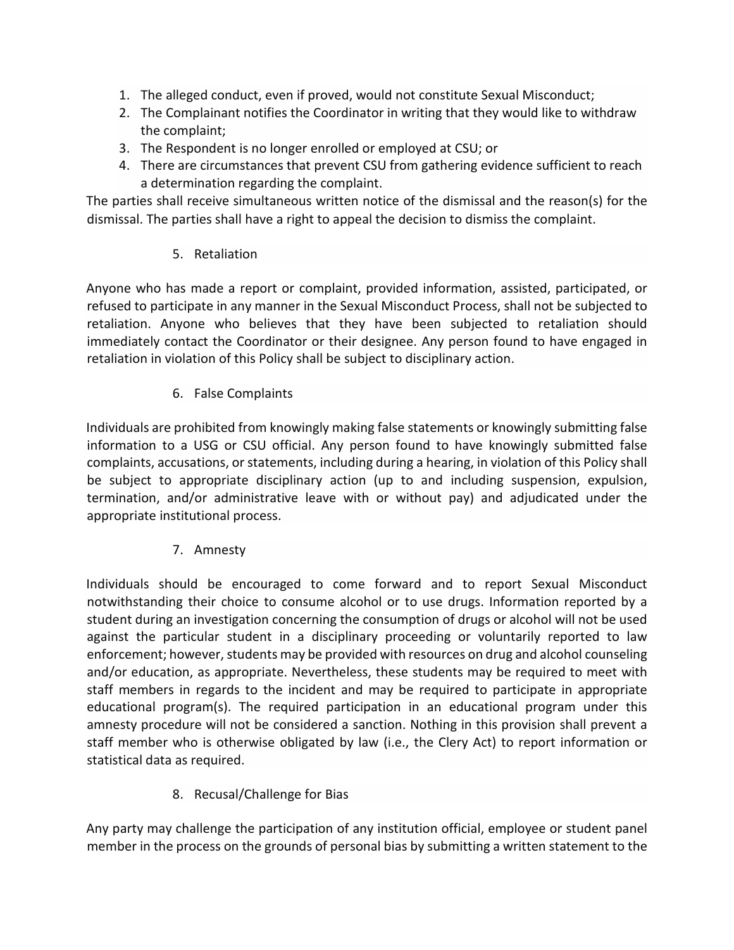- 1. The alleged conduct, even if proved, would not constitute Sexual Misconduct;
- 2. The Complainant notifies the Coordinator in writing that they would like to withdraw the complaint;
- 3. The Respondent is no longer enrolled or employed at CSU; or
- 4. There are circumstances that prevent CSU from gathering evidence sufficient to reach a determination regarding the complaint.

The parties shall receive simultaneous written notice of the dismissal and the reason(s) for the dismissal. The parties shall have a right to appeal the decision to dismiss the complaint.

5. Retaliation

Anyone who has made a report or complaint, provided information, assisted, participated, or refused to participate in any manner in the Sexual Misconduct Process, shall not be subjected to retaliation. Anyone who believes that they have been subjected to retaliation should immediately contact the Coordinator or their designee. Any person found to have engaged in retaliation in violation of this Policy shall be subject to disciplinary action.

## 6. False Complaints

Individuals are prohibited from knowingly making false statements or knowingly submitting false information to a USG or CSU official. Any person found to have knowingly submitted false complaints, accusations, or statements, including during a hearing, in violation of this Policy shall be subject to appropriate disciplinary action (up to and including suspension, expulsion, termination, and/or administrative leave with or without pay) and adjudicated under the appropriate institutional process.

#### 7. Amnesty

Individuals should be encouraged to come forward and to report Sexual Misconduct notwithstanding their choice to consume alcohol or to use drugs. Information reported by a student during an investigation concerning the consumption of drugs or alcohol will not be used against the particular student in a disciplinary proceeding or voluntarily reported to law enforcement; however, students may be provided with resources on drug and alcohol counseling and/or education, as appropriate. Nevertheless, these students may be required to meet with staff members in regards to the incident and may be required to participate in appropriate educational program(s). The required participation in an educational program under this amnesty procedure will not be considered a sanction. Nothing in this provision shall prevent a staff member who is otherwise obligated by law (i.e., the Clery Act) to report information or statistical data as required.

8. Recusal/Challenge for Bias

Any party may challenge the participation of any institution official, employee or student panel member in the process on the grounds of personal bias by submitting a written statement to the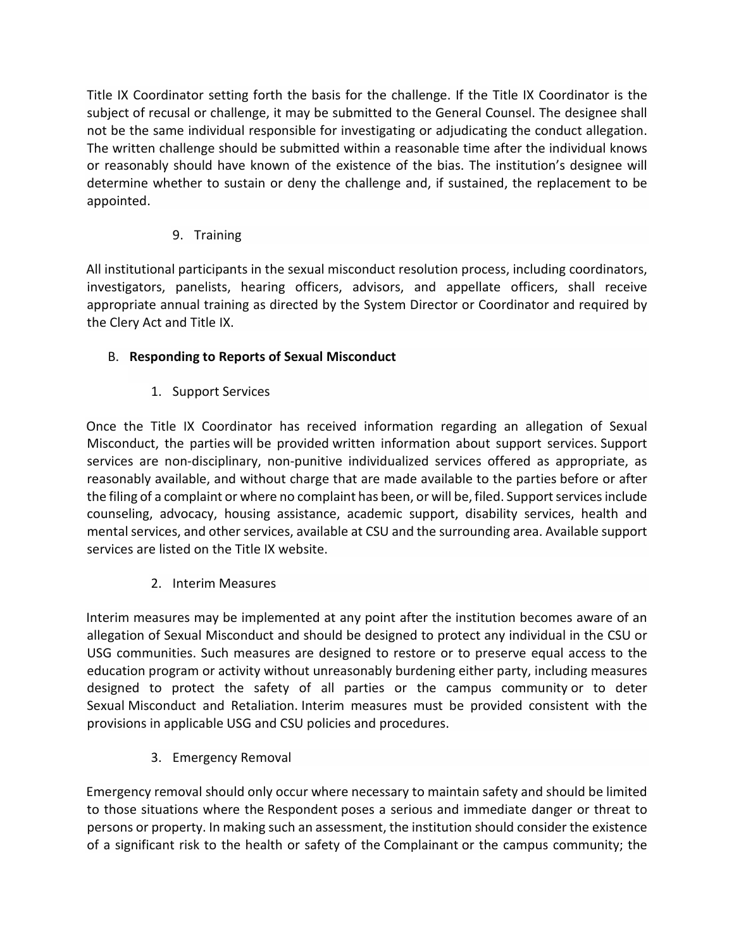Title IX Coordinator setting forth the basis for the challenge. If the Title IX Coordinator is the subject of recusal or challenge, it may be submitted to the General Counsel. The designee shall not be the same individual responsible for investigating or adjudicating the conduct allegation. The written challenge should be submitted within a reasonable time after the individual knows or reasonably should have known of the existence of the bias. The institution's designee will determine whether to sustain or deny the challenge and, if sustained, the replacement to be appointed.

## 9. Training

All institutional participants in the sexual misconduct resolution process, including coordinators, investigators, panelists, hearing officers, advisors, and appellate officers, shall receive appropriate annual training as directed by the System Director or Coordinator and required by the Clery Act and Title IX.

## B. **Responding to Reports of Sexual Misconduct**

1. Support Services

Once the Title IX Coordinator has received information regarding an allegation of Sexual Misconduct, the parties will be provided written information about support services. Support services are non-disciplinary, non-punitive individualized services offered as appropriate, as reasonably available, and without charge that are made available to the parties before or after the filing of a complaint or where no complaint has been, or will be, filed. Support services include counseling, advocacy, housing assistance, academic support, disability services, health and mental services, and other services, available at CSU and the surrounding area. Available support services are listed on the Title IX website.

2. Interim Measures

Interim measures may be implemented at any point after the institution becomes aware of an allegation of Sexual Misconduct and should be designed to protect any individual in the CSU or USG communities. Such measures are designed to restore or to preserve equal access to the education program or activity without unreasonably burdening either party, including measures designed to protect the safety of all parties or the campus community or to deter Sexual Misconduct and Retaliation. Interim measures must be provided consistent with the provisions in applicable USG and CSU policies and procedures.

3. Emergency Removal

Emergency removal should only occur where necessary to maintain safety and should be limited to those situations where the Respondent poses a serious and immediate danger or threat to persons or property. In making such an assessment, the institution should consider the existence of a significant risk to the health or safety of the Complainant or the campus community; the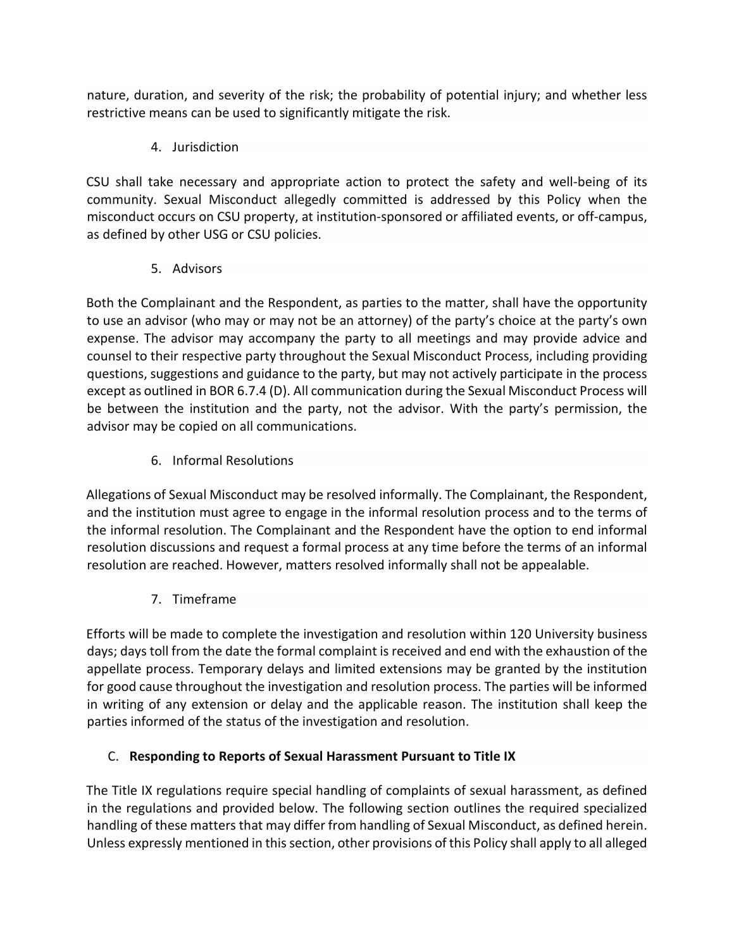nature, duration, and severity of the risk; the probability of potential injury; and whether less restrictive means can be used to significantly mitigate the risk.

4. Jurisdiction

CSU shall take necessary and appropriate action to protect the safety and well-being of its community. Sexual Misconduct allegedly committed is addressed by this Policy when the misconduct occurs on CSU property, at institution-sponsored or affiliated events, or off-campus, as defined by other USG or CSU policies.

5. Advisors

Both the Complainant and the Respondent, as parties to the matter, shall have the opportunity to use an advisor (who may or may not be an attorney) of the party's choice at the party's own expense. The advisor may accompany the party to all meetings and may provide advice and counsel to their respective party throughout the Sexual Misconduct Process, including providing questions, suggestions and guidance to the party, but may not actively participate in the process except as outlined in BOR 6.7.4 (D). All communication during the Sexual Misconduct Process will be between the institution and the party, not the advisor. With the party's permission, the advisor may be copied on all communications.

6. Informal Resolutions

Allegations of Sexual Misconduct may be resolved informally. The Complainant, the Respondent, and the institution must agree to engage in the informal resolution process and to the terms of the informal resolution. The Complainant and the Respondent have the option to end informal resolution discussions and request a formal process at any time before the terms of an informal resolution are reached. However, matters resolved informally shall not be appealable.

7. Timeframe

Efforts will be made to complete the investigation and resolution within 120 University business days; days toll from the date the formal complaint is received and end with the exhaustion of the appellate process. Temporary delays and limited extensions may be granted by the institution for good cause throughout the investigation and resolution process. The parties will be informed in writing of any extension or delay and the applicable reason. The institution shall keep the parties informed of the status of the investigation and resolution.

## C. **Responding to Reports of Sexual Harassment Pursuant to Title IX**

The Title IX regulations require special handling of complaints of sexual harassment, as defined in the regulations and provided below. The following section outlines the required specialized handling of these matters that may differ from handling of Sexual Misconduct, as defined herein. Unless expressly mentioned in this section, other provisions of this Policy shall apply to all alleged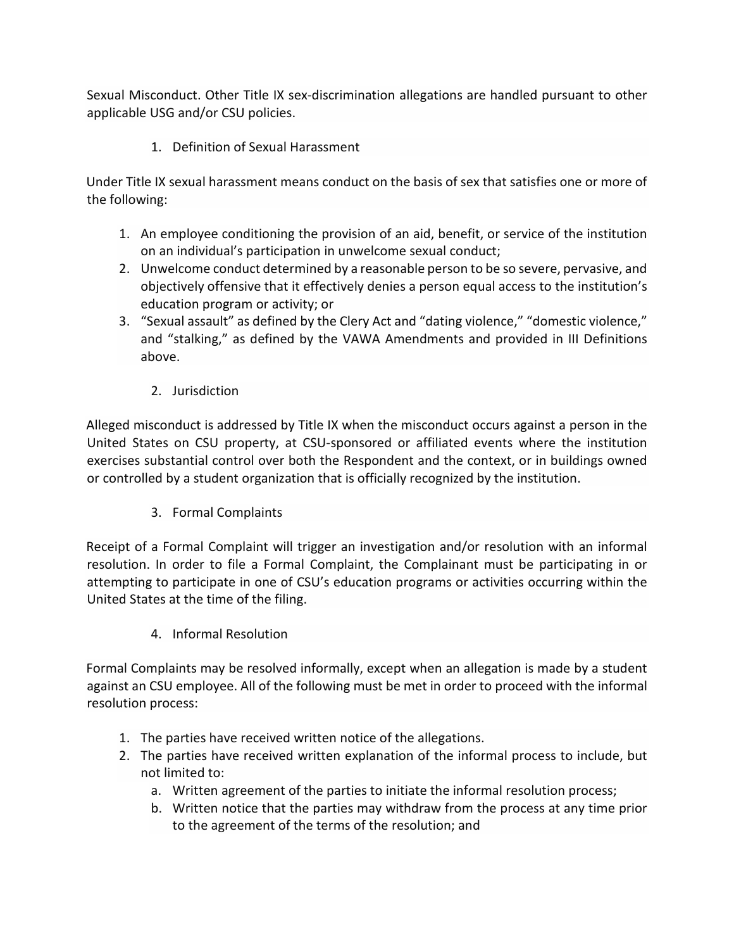Sexual Misconduct. Other Title IX sex-discrimination allegations are handled pursuant to other applicable USG and/or CSU policies.

1. Definition of Sexual Harassment

Under Title IX sexual harassment means conduct on the basis of sex that satisfies one or more of the following:

- 1. An employee conditioning the provision of an aid, benefit, or service of the institution on an individual's participation in unwelcome sexual conduct;
- 2. Unwelcome conduct determined by a reasonable person to be so severe, pervasive, and objectively offensive that it effectively denies a person equal access to the institution's education program or activity; or
- 3. "Sexual assault" as defined by the Clery Act and "dating violence," "domestic violence," and "stalking," as defined by the VAWA Amendments and provided in III Definitions above.
	- 2. Jurisdiction

Alleged misconduct is addressed by Title IX when the misconduct occurs against a person in the United States on CSU property, at CSU-sponsored or affiliated events where the institution exercises substantial control over both the Respondent and the context, or in buildings owned or controlled by a student organization that is officially recognized by the institution.

3. Formal Complaints

Receipt of a Formal Complaint will trigger an investigation and/or resolution with an informal resolution. In order to file a Formal Complaint, the Complainant must be participating in or attempting to participate in one of CSU's education programs or activities occurring within the United States at the time of the filing.

4. Informal Resolution

Formal Complaints may be resolved informally, except when an allegation is made by a student against an CSU employee. All of the following must be met in order to proceed with the informal resolution process:

- 1. The parties have received written notice of the allegations.
- 2. The parties have received written explanation of the informal process to include, but not limited to:
	- a. Written agreement of the parties to initiate the informal resolution process;
	- b. Written notice that the parties may withdraw from the process at any time prior to the agreement of the terms of the resolution; and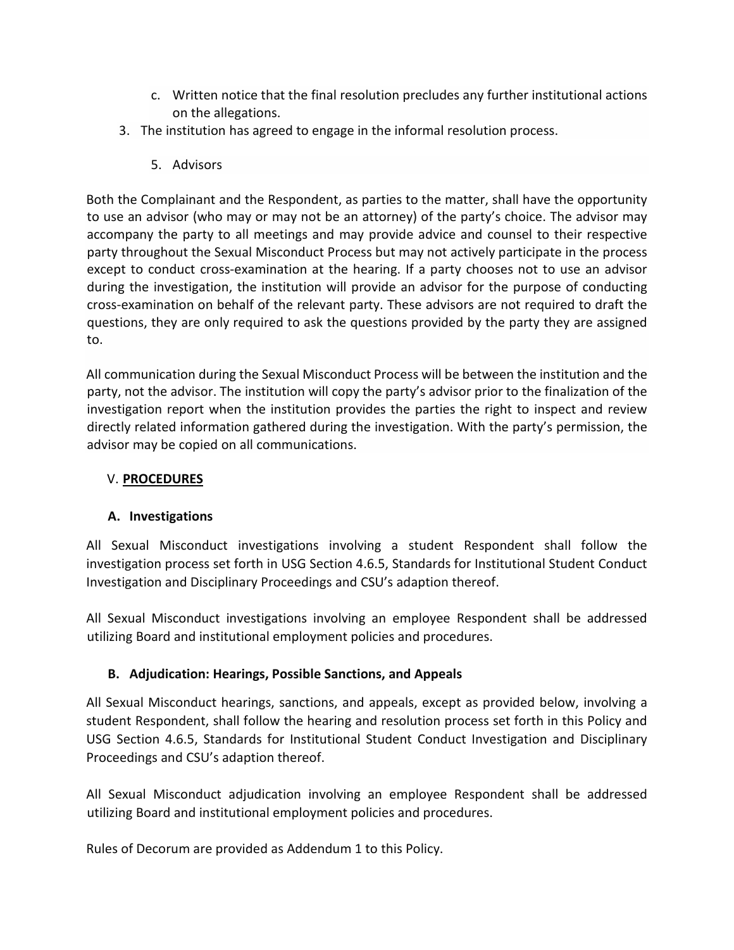- c. Written notice that the final resolution precludes any further institutional actions on the allegations.
- 3. The institution has agreed to engage in the informal resolution process.
	- 5. Advisors

Both the Complainant and the Respondent, as parties to the matter, shall have the opportunity to use an advisor (who may or may not be an attorney) of the party's choice. The advisor may accompany the party to all meetings and may provide advice and counsel to their respective party throughout the Sexual Misconduct Process but may not actively participate in the process except to conduct cross-examination at the hearing. If a party chooses not to use an advisor during the investigation, the institution will provide an advisor for the purpose of conducting cross-examination on behalf of the relevant party. These advisors are not required to draft the questions, they are only required to ask the questions provided by the party they are assigned to.

All communication during the Sexual Misconduct Process will be between the institution and the party, not the advisor. The institution will copy the party's advisor prior to the finalization of the investigation report when the institution provides the parties the right to inspect and review directly related information gathered during the investigation. With the party's permission, the advisor may be copied on all communications.

#### V. **PROCEDURES**

#### **A. Investigations**

All Sexual Misconduct investigations involving a student Respondent shall follow the investigation process set forth in USG Section 4.6.5, Standards for Institutional Student Conduct Investigation and Disciplinary Proceedings and CSU's adaption thereof.

All Sexual Misconduct investigations involving an employee Respondent shall be addressed utilizing Board and institutional employment policies and procedures.

## **B. Adjudication: Hearings, Possible Sanctions, and Appeals**

All Sexual Misconduct hearings, sanctions, and appeals, except as provided below, involving a student Respondent, shall follow the hearing and resolution process set forth in this Policy and USG Section 4.6.5, Standards for Institutional Student Conduct Investigation and Disciplinary Proceedings and CSU's adaption thereof.

All Sexual Misconduct adjudication involving an employee Respondent shall be addressed utilizing Board and institutional employment policies and procedures.

Rules of Decorum are provided as Addendum 1 to this Policy.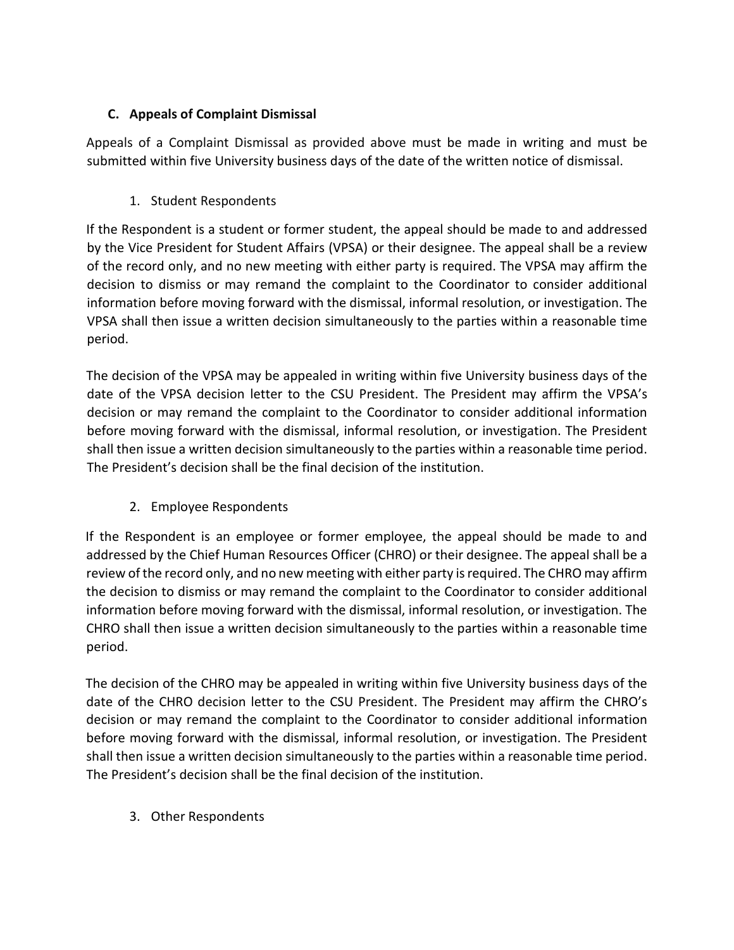## **C. Appeals of Complaint Dismissal**

Appeals of a Complaint Dismissal as provided above must be made in writing and must be submitted within five University business days of the date of the written notice of dismissal.

### 1. Student Respondents

If the Respondent is a student or former student, the appeal should be made to and addressed by the Vice President for Student Affairs (VPSA) or their designee. The appeal shall be a review of the record only, and no new meeting with either party is required. The VPSA may affirm the decision to dismiss or may remand the complaint to the Coordinator to consider additional information before moving forward with the dismissal, informal resolution, or investigation. The VPSA shall then issue a written decision simultaneously to the parties within a reasonable time period.

The decision of the VPSA may be appealed in writing within five University business days of the date of the VPSA decision letter to the CSU President. The President may affirm the VPSA's decision or may remand the complaint to the Coordinator to consider additional information before moving forward with the dismissal, informal resolution, or investigation. The President shall then issue a written decision simultaneously to the parties within a reasonable time period. The President's decision shall be the final decision of the institution.

## 2. Employee Respondents

If the Respondent is an employee or former employee, the appeal should be made to and addressed by the Chief Human Resources Officer (CHRO) or their designee. The appeal shall be a review of the record only, and no new meeting with either party is required. The CHRO may affirm the decision to dismiss or may remand the complaint to the Coordinator to consider additional information before moving forward with the dismissal, informal resolution, or investigation. The CHRO shall then issue a written decision simultaneously to the parties within a reasonable time period.

The decision of the CHRO may be appealed in writing within five University business days of the date of the CHRO decision letter to the CSU President. The President may affirm the CHRO's decision or may remand the complaint to the Coordinator to consider additional information before moving forward with the dismissal, informal resolution, or investigation. The President shall then issue a written decision simultaneously to the parties within a reasonable time period. The President's decision shall be the final decision of the institution.

3. Other Respondents